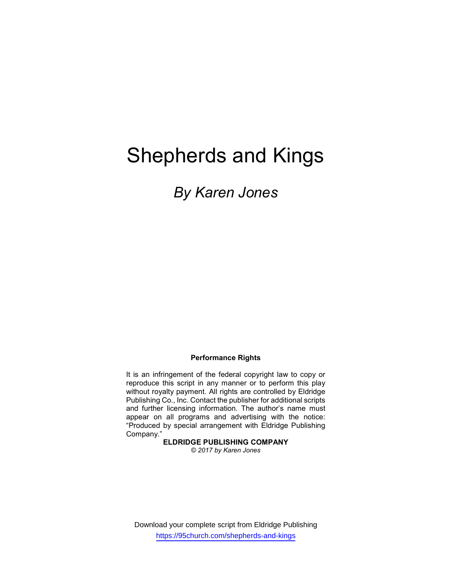# Shepherds and Kings

# By Karen Jones

#### Performance Rights

It is an infringement of the federal copyright law to copy or reproduce this script in any manner or to perform this play without royalty payment. All rights are controlled by Eldridge Publishing Co., Inc. Contact the publisher for additional scripts and further licensing information. The author's name must appear on all programs and advertising with the notice: "Produced by special arrangement with Eldridge Publishing Company."

#### ELDRIDGE PUBLISHING COMPANY

© 2017 by Karen Jones

Download your complete script from Eldridge Publishing https://95church.com/shepherds-and-kings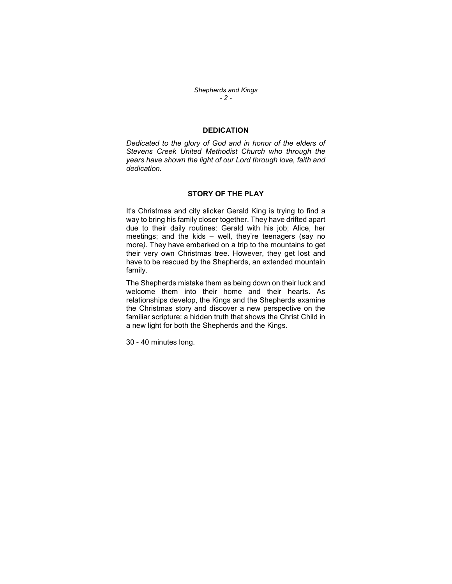Shepherds and Kings - 2 -

#### **DEDICATION**

Dedicated to the glory of God and in honor of the elders of Stevens Creek United Methodist Church who through the years have shown the light of our Lord through love, faith and dedication.

#### STORY OF THE PLAY

It's Christmas and city slicker Gerald King is trying to find a way to bring his family closer together. They have drifted apart due to their daily routines: Gerald with his job; Alice, her meetings; and the kids – well, they're teenagers (say no more). They have embarked on a trip to the mountains to get their very own Christmas tree. However, they get lost and have to be rescued by the Shepherds, an extended mountain family.

The Shepherds mistake them as being down on their luck and welcome them into their home and their hearts. As relationships develop, the Kings and the Shepherds examine the Christmas story and discover a new perspective on the familiar scripture: a hidden truth that shows the Christ Child in a new light for both the Shepherds and the Kings.

30 - 40 minutes long.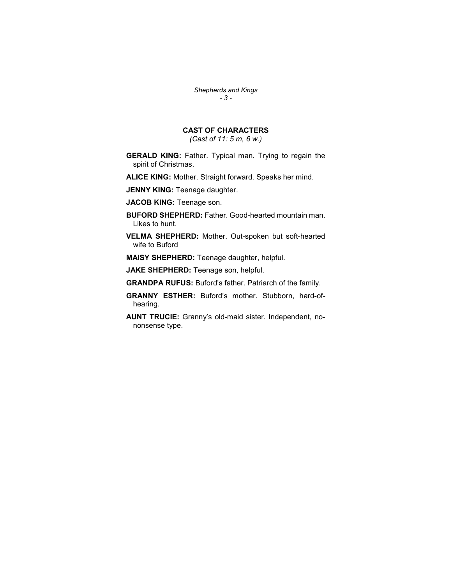Shepherds and Kings - 3 -

### CAST OF CHARACTERS

(Cast of 11: 5 m, 6 w.)

GERALD KING: Father. Typical man. Trying to regain the spirit of Christmas.

ALICE KING: Mother. Straight forward. Speaks her mind.

JENNY KING: Teenage daughter.

JACOB KING: Teenage son.

BUFORD SHEPHERD: Father. Good-hearted mountain man. Likes to hunt.

VELMA SHEPHERD: Mother. Out-spoken but soft-hearted wife to Buford

MAISY SHEPHERD: Teenage daughter, helpful.

JAKE SHEPHERD: Teenage son, helpful.

GRANDPA RUFUS: Buford's father. Patriarch of the family.

GRANNY ESTHER: Buford's mother. Stubborn, hard-ofhearing.

AUNT TRUCIE: Granny's old-maid sister. Independent, nononsense type.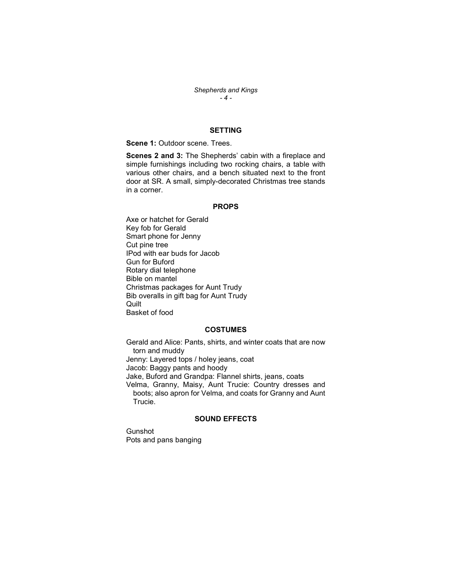Shepherds and Kings  $-4-$ 

#### SETTING

Scene 1: Outdoor scene. Trees.

Scenes 2 and 3: The Shepherds' cabin with a fireplace and simple furnishings including two rocking chairs, a table with various other chairs, and a bench situated next to the front door at SR. A small, simply-decorated Christmas tree stands in a corner.

#### PROPS

Axe or hatchet for Gerald Key fob for Gerald Smart phone for Jenny Cut pine tree IPod with ear buds for Jacob Gun for Buford Rotary dial telephone Bible on mantel Christmas packages for Aunt Trudy Bib overalls in gift bag for Aunt Trudy **Quilt** Basket of food

#### **COSTUMES**

Gerald and Alice: Pants, shirts, and winter coats that are now torn and muddy Jenny: Layered tops / holey jeans, coat Jacob: Baggy pants and hoody Jake, Buford and Grandpa: Flannel shirts, jeans, coats Velma, Granny, Maisy, Aunt Trucie: Country dresses and boots; also apron for Velma, and coats for Granny and Aunt Trucie.

#### SOUND EFFECTS

Gunshot Pots and pans banging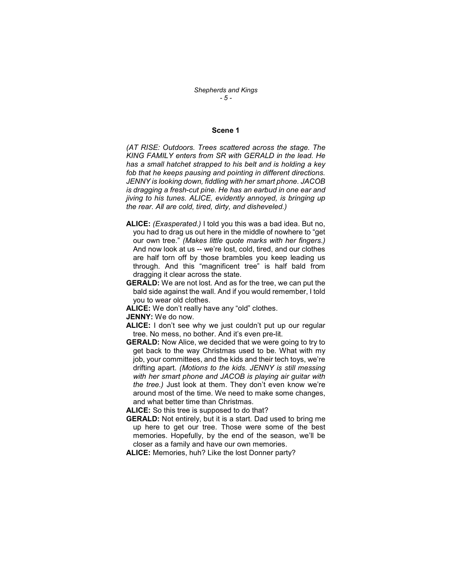#### Scene 1

(AT RISE: Outdoors. Trees scattered across the stage. The KING FAMILY enters from SR with GERALD in the lead. He has a small hatchet strapped to his belt and is holding a key fob that he keeps pausing and pointing in different directions. JENNY is looking down, fiddling with her smart phone. JACOB is dragging a fresh-cut pine. He has an earbud in one ear and jiving to his tunes. ALICE, evidently annoyed, is bringing up the rear. All are cold, tired, dirty, and disheveled.)

- ALICE: (Exasperated.) I told you this was a bad idea. But no, you had to drag us out here in the middle of nowhere to "get our own tree." (Makes little quote marks with her fingers.) And now look at us -- we're lost, cold, tired, and our clothes are half torn off by those brambles you keep leading us through. And this "magnificent tree" is half bald from dragging it clear across the state.
- GERALD: We are not lost. And as for the tree, we can put the bald side against the wall. And if you would remember, I told you to wear old clothes.
- ALICE: We don't really have any "old" clothes.

JENNY: We do now.

- ALICE: I don't see why we just couldn't put up our regular tree. No mess, no bother. And it's even pre-lit.
- GERALD: Now Alice, we decided that we were going to try to get back to the way Christmas used to be. What with my job, your committees, and the kids and their tech toys, we're drifting apart. (Motions to the kids. JENNY is still messing with her smart phone and JACOB is playing air guitar with the tree.) Just look at them. They don't even know we're around most of the time. We need to make some changes, and what better time than Christmas.

ALICE: So this tree is supposed to do that?

- GERALD: Not entirely, but it is a start. Dad used to bring me up here to get our tree. Those were some of the best memories. Hopefully, by the end of the season, we'll be closer as a family and have our own memories.
- ALICE: Memories, huh? Like the lost Donner party?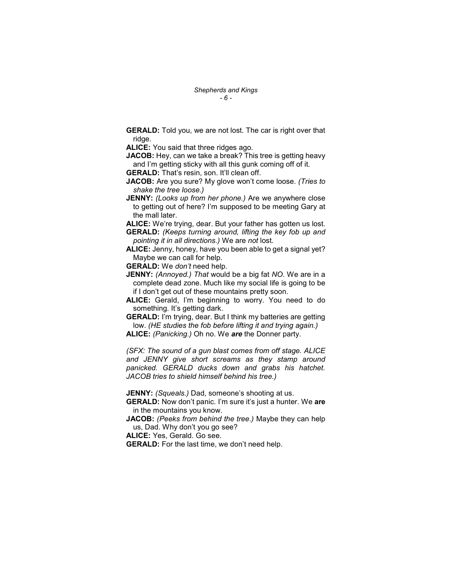**GERALD:** Told you, we are not lost. The car is right over that ridge.

ALICE: You said that three ridges ago.

JACOB: Hey, can we take a break? This tree is getting heavy and I'm getting sticky with all this gunk coming off of it.

GERALD: That's resin, son. It'll clean off.

JACOB: Are you sure? My glove won't come loose. (Tries to shake the tree loose.)

JENNY: (Looks up from her phone.) Are we anywhere close to getting out of here? I'm supposed to be meeting Gary at the mall later.

ALICE: We're trying, dear. But your father has gotten us lost. GERALD: (Keeps turning around, lifting the key fob up and pointing it in all directions.) We are not lost.

ALICE: Jenny, honey, have you been able to get a signal yet? Maybe we can call for help.

GERALD: We don't need help.

**JENNY:** (Annoyed.) That would be a big fat NO. We are in a complete dead zone. Much like my social life is going to be if I don't get out of these mountains pretty soon.

ALICE: Gerald, I'm beginning to worry. You need to do something. It's getting dark.

GERALD: I'm trying, dear. But I think my batteries are getting low. (HE studies the fob before lifting it and trying again.) ALICE: (Panicking.) Oh no. We are the Donner party.

(SFX: The sound of a gun blast comes from off stage. ALICE and JENNY give short screams as they stamp around panicked. GERALD ducks down and grabs his hatchet. JACOB tries to shield himself behind his tree.)

JENNY: (Squeals.) Dad, someone's shooting at us.

GERALD: Now don't panic. I'm sure it's just a hunter. We are in the mountains you know.

JACOB: (Peeks from behind the tree.) Maybe they can help us, Dad. Why don't you go see?

ALICE: Yes, Gerald. Go see.

GERALD: For the last time, we don't need help.